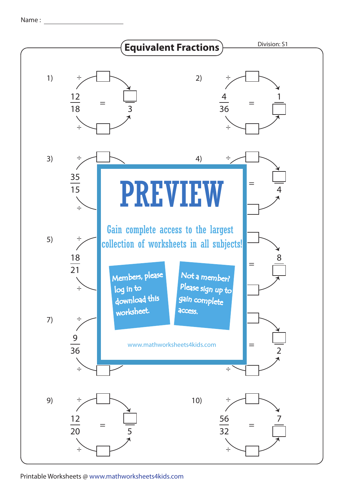